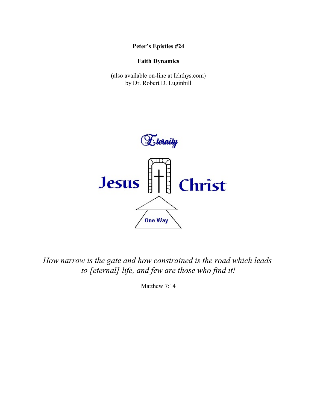**Peter's Epistles #24**

# **Faith Dynamics**

(also available on-line at Ichthys.com) by Dr. Robert D. Luginbill



*How narrow is the gate and how constrained is the road which leads to [eternal] life, and few are those who find it!*

Matthew 7:14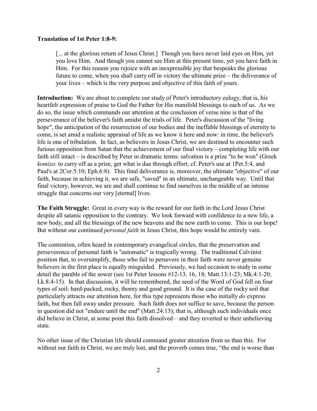### **Translation of 1st Peter 1:8-9:**

[... at the glorious return of Jesus Christ.] Though you have never laid eyes on Him, yet you love Him. And though you cannot see Him at this present time, yet you have faith in Him. For this reason you rejoice with an inexpressible joy that bespeaks the glorious future to come, when you shall carry off in victory the ultimate prize – the deliverance of your lives – which is the very purpose and objective of this faith of yours.

**Introduction:** We are about to complete our study of Peter's introductory eulogy, that is, his heartfelt expression of praise to God the Father for His manifold blessings to each of us. As we do so, the issue which commands our attention at the conclusion of verse nine is that of the perseverance of the believer's faith amidst the trials of life. Peter's discussion of the "living hope", the anticipation of the resurrection of our bodies and the ineffable blessings of eternity to come, is set amid a realistic appraisal of life as we know it here and now: in time, the believer's life is one of tribulation. In fact, as believers in Jesus Christ, we are destined to encounter such furious opposition from Satan that the achievement of our final victory – completing life with our faith still intact – is described by Peter in dramatic terms: salvation is a prize "to be won" (Greek *komizo*: to carry off as a prize, get what is due through effort; cf. Peter's use at 1Pet.5:4, and Paul's at 2Cor.5:10; Eph.6:8). This final deliverance is, moreover, the ultimate "objective" of our faith, because in achieving it, we are safe, "saved" in an ultimate, unchangeable way. Until that final victory, however, we are and shall continue to find ourselves in the middle of an intense struggle that concerns our very [eternal] lives.

**The Faith Struggle:** Great in every way is the reward for our faith in the Lord Jesus Christ despite all satanic opposition to the contrary. We look forward with confidence to a new life, a new body, and all the blessings of the new heavens and the new earth to come. This is our hope! But without our continued *personal faith* in Jesus Christ, this hope would be entirely vain.

The contention, often heard in contemporary evangelical circles, that the preservation and perseverence of personal faith is "automatic" is tragically wrong. The traditional Calvinist position that, to oversimplify, those who fail to persevere in their faith were never genuine believers in the first place is equally misguided. Previously, we had occasion to study in some detail the parable of the sower (see 1st Peter lessons #12-13, 16, 18; Matt.13:1-23; Mk.4:1-20; Lk.8:4-15). In that discussion, it will be remembered, the seed of the Word of God fell on four types of soil: hard-packed, rocky, thorny and good ground. It is the case of the rocky soil that particularly attracts our attention here, for this type represents those who initially *do* express faith, but then fall away under pressure. Such faith does not suffice to save, because the person in question did not "endure until the end" (Matt.24:13); that is, although such individuals once did believe in Christ, at some point this faith dissolved – and they reverted to their unbelieving state.

No other issue of the Christian life should command greater attention from us than this. For without our faith in Christ, we are truly lost, and the proverb comes true, "the end is worse than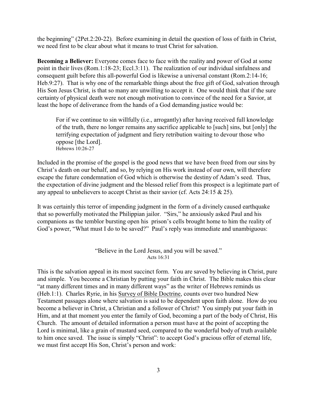the beginning" (2Pet.2:20-22). Before examining in detail the question of loss of faith in Christ, we need first to be clear about what it means to trust Christ for salvation.

**Becoming a Believer:** Everyone comes face to face with the reality and power of God at some point in their lives (Rom.1:18-23; Eccl.3:11). The realization of our individual sinfulness and consequent guilt before this all-powerful God is likewise a universal constant (Rom.2:14-16; Heb.9:27). That is why one of the remarkable things about the free gift of God, salvation through His Son Jesus Christ, is that so many are unwilling to accept it. One would think that if the sure certainty of physical death were not enough motivation to convince of the need for a Savior, at least the hope of deliverance from the hands of a God demanding justice would be:

For if we continue to sin willfully (i.e., arrogantly) after having received full knowledge of the truth, there no longer remains any sacrifice applicable to [such] sins, but [only] the terrifying expectation of judgment and fiery retribution waiting to devour those who oppose [the Lord]. Hebrews 10:26-27

Included in the promise of the gospel is the good news that we have been freed from our sins by Christ's death on our behalf, and so, by relying on His work instead of our own, will therefore escape the future condemnation of God which is otherwise the destiny of Adam's seed. Thus, the expectation of divine judgment and the blessed relief from this prospect is a legitimate part of any appeal to unbelievers to accept Christ as their savior (cf. Acts 24:15 & 25).

It was certainly this terror of impending judgment in the form of a divinely caused earthquake that so powerfully motivated the Philippian jailor. "Sirs," he anxiously asked Paul and his companions as the temblor bursting open his prison's cells brought home to him the reality of God's power, "What must I do to be saved?" Paul's reply was immediate and unambiguous:

> "Believe in the Lord Jesus, and you will be saved." Acts 16:31

This is the salvation appeal in its most succinct form. You are saved by believing in Christ, pure and simple. You become a Christian by putting your faith in Christ. The Bible makes this clear "at many different times and in many different ways" as the writer of Hebrews reminds us (Heb.1:1). Charles Ryrie, in his Survey of Bible Doctrine, counts over two hundred New Testament passages alone where salvation is said to be dependent upon faith alone. How do you become a believer in Christ, a Christian and a follower of Christ? You simply put your faith in Him, and at that moment you enter the family of God, becoming a part of the body of Christ, His Church. The amount of detailed information a person must have at the point of accepting the Lord is minimal, like a grain of mustard seed, compared to the wonderful body of truth available to him once saved. The issue is simply "Christ": to accept God's gracious offer of eternal life, we must first accept His Son, Christ's person and work: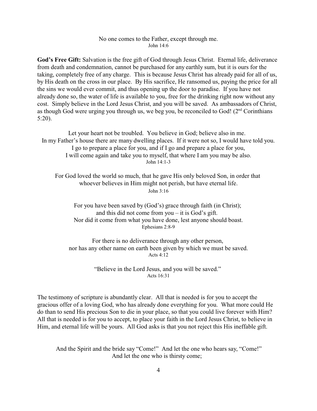#### No one comes to the Father, except through me. John 14:6

**God's Free Gift:** Salvation is the free gift of God through Jesus Christ. Eternal life, deliverance from death and condemnation, cannot be purchased for any earthly sum, but it is ours for the taking, completely free of any charge. This is because Jesus Christ has already paid for all of us, by His death on the cross in our place. By His sacrifice, He ransomed us, paying the price for all the sins we would ever commit, and thus opening up the door to paradise. If you have not already done so, the water of life is available to you, free for the drinking right now without any cost. Simply believe in the Lord Jesus Christ, and you will be saved. As ambassadors of Christ, as though God were urging you through us, we beg you, be reconciled to God! (2<sup>nd</sup> Corinthians 5:20).

Let your heart not be troubled. You believe in God; believe also in me. In my Father's house there are many dwelling places. If it were not so, I would have told you. I go to prepare a place for you, and if I go and prepare a place for you, I will come again and take you to myself, that where I am you may be also. John 14:1-3

For God loved the world so much, that he gave His only beloved Son, in order that whoever believes in Him might not perish, but have eternal life. John 3:16

For you have been saved by (God's) grace through faith (in Christ); and this did not come from you – it is God's gift. Nor did it come from what you have done, lest anyone should boast. Ephesians 2:8-9

For there is no deliverance through any other person, nor has any other name on earth been given by which we must be saved. Acts 4:12

> "Believe in the Lord Jesus, and you will be saved." Acts 16:31

The testimony of scripture is abundantly clear. All that is needed is for you to accept the gracious offer of a loving God, who has already done everything for you. What more could He do than to send His precious Son to die in your place, so that you could live forever with Him? All that is needed is for you to accept, to place your faith in the Lord Jesus Christ, to believe in Him, and eternal life will be yours. All God asks is that you not reject this His ineffable gift.

And the Spirit and the bride say "Come!" And let the one who hears say, "Come!" And let the one who is thirsty come;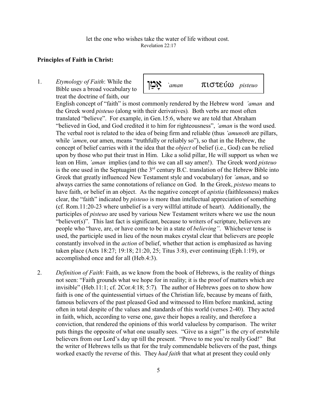### **Principles of Faith in Christ:**

1. *Etymology of Faith*: While the Bible uses a broad vocabulary to treat the doctrine of faith, our

 $\sum_{\text{mean}}$  *`aman* πιστεύω *pisteuo* 

English concept of "faith" is most commonly rendered by the Hebrew word *'aman* and the Greek word *pisteuo* (along with their derivatives)*.* Both verbs are most often translated "believe". For example, in Gen.15:6, where we are told that Abraham "believed in God, and God credited it to him for righteousness", *'aman* is the word used. The verbal root is related to the idea of being firm and reliable (thus *'amunoth* are pillars, while *'amen*, our amen, means "truthfully or reliably so"), so that in the Hebrew, the concept of belief carries with it the idea that the *object* of belief (i.e., God) can be relied upon by those who put their trust in Him. Like a solid pillar, He will support us when we lean on Him, *'aman* implies (and to this we can all say amen!). The Greek word *pisteuo* is the one used in the Septuagint (the  $3<sup>rd</sup>$  century B.C. translation of the Hebrew Bible into Greek that greatly influenced New Testament style and vocabulary) for *'aman*, and so always carries the same connotations of reliance on God. In the Greek, *pisteuo* means to have faith, or belief in an object. As the negative concept of *apistia* (faithlessness) makes clear, the "faith" indicated by *pisteuo* is more than intellectual appreciation of something (cf. Rom.11:20-23 where unbelief is a very willful attitude of heart). Additionally, the participles of *pisteuo* are used by various New Testament writers where we use the noun "believer(s)". This last fact is significant, because to writers of scripture, believers are people who "have, are, or have come to be in a state of *believing"*. Whichever tense is used, the participle used in lieu of the noun makes crystal clear that believers are people constantly involved in the *action* of belief, whether that action is emphasized as having taken place (Acts 18:27; 19:18; 21:20, 25; Titus 3:8), ever continuing (Eph.1:19), or accomplished once and for all (Heb.4:3).

2. *Definition of Faith*: Faith, as we know from the book of Hebrews, is the reality of things not seen: "Faith grounds what we hope for in reality; it is the proof of matters which are invisible" (Heb.11:1; cf. 2Cor.4:18; 5:7)*.* The author of Hebrews goes on to show how faith is one of the quintessential virtues of the Christian life, because by means of faith, famous believers of the past pleased God and witnessed to Him before mankind, acting often in total despite of the values and standards of this world (verses 2-40). They acted in faith, which, according to verse one, gave their hopes a reality, and therefore a conviction, that rendered the opinions of this world valueless by comparison. The writer puts things the opposite of what one usually sees. "Give us a sign!" is the cry of erstwhile believers from our Lord's day up till the present. "Prove to me you're really God!" But the writer of Hebrews tells us that for the truly commendable believers of the past, things worked exactly the reverse of this. They *had faith* that what at present they could only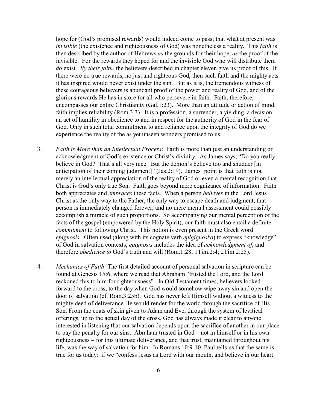hope for (God's promised rewards) would indeed come to pass; that what at present was *invisible* (the existence and righteousness of God) was nonetheless a reality. This *faith* is then described by the author of Hebrews *as* the grounds for their hope, *as* the proof of the invisible. For the rewards they hoped for and the invisible God who will distribute them *do* exist. *By their faith*, the believers described in chapter eleven give us proof of this. If there were no true rewards, no just and righteous God, then such faith and the mighty acts it has inspired would never exist under the sun. But as it is, the tremendous witness of these courageous believers is abundant proof of the power and reality of God, and of the glorious rewards He has in store for all who persevere in faith. Faith, therefore, encompasses our entire Christianity (Gal.1:23). More than an attitude or action of mind, faith implies reliability (Rom.3:3). It is a profession, a surrender, a yielding, a decision, an act of humility in obedience to and in respect for the authority of God in the fear of God. Only in such total commitment to and reliance upon the integrity of God do we experience the reality of the as yet unseen wonders promised to us.

- 3. *Faith is More than an Intellectual Process*: Faith is more than just an understanding or acknowledgment of God's existence or Christ's divinity. As James says, "Do you really believe in God? That's all very nice. But the demon's believe too and shudder [in anticipation of their coming judgment]" (Jas.2:19). James' point is that faith is not merely an intellectual appreciation of the reality of God or even a mental recognition that Christ is God's only true Son. Faith goes beyond mere cognizance of information. Faith both appreciates and *embraces* these facts. When a person *believes* in the Lord Jesus Christ as the only way to the Father, the only way to escape death and judgment, that person is immediately changed forever, and no mere mental assessment could possibly accomplish a miracle of such proportions. So accompanying our mental perception of the facts of the gospel (empowered by the Holy Spirit), our faith must also entail a definite *commitment* to following Christ. This notion is even present in the Greek word *epignosis*. Often used (along with its cognate verb *epigignosko*) to express "knowledge" of God in salvation contexts, *epignosis* includes the idea of *acknowledgment of*, and therefore *obedience to* God's truth and will (Rom.1:28; 1Tim.2:4; 2Tim.2:25).
- 4. *Mechanics of Faith*: The first detailed account of personal salvation in scripture can be found at Genesis 15:6, where we read that Abraham "trusted the Lord, and the Lord reckoned this to him for righteousness". In Old Testament times, believers looked forward to the cross, to the day when God would somehow wipe away sin and open the door of salvation (cf. Rom.3:25b). God has never left Himself without a witness to the mighty deed of deliverance He would render for the world through the sacrifice of His Son. From the coats of skin given to Adam and Eve, through the system of levitical offerings, up to the actual day of the cross, God has always made it clear to anyone interested in listening that our salvation depends upon the sacrifice of another in our place to pay the penalty for our sins. Abraham trusted in God – not in himself or in his own righteousness – for this ultimate deliverance, and that trust, maintained throughout his life, was the way of salvation for him. In Romans 10:9-10, Paul tells us that the same is true for us today: if we "confess Jesus as Lord with our mouth, and believe in our heart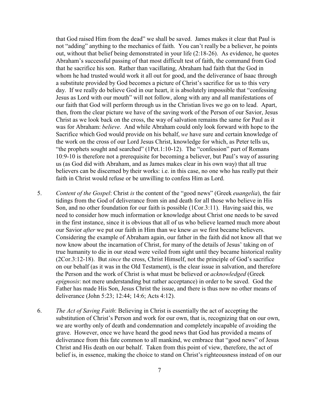that God raised Him from the dead" we shall be saved. James makes it clear that Paul is not "adding" anything to the mechanics of faith. You can't really be a believer, he points out, without that belief being demonstrated in your life (2:18-26). As evidence, he quotes Abraham's successful passing of that most difficult test of faith, the command from God that he sacrifice his son. Rather than vacillating, Abraham had faith that the God in whom he had trusted would work it all out for good, and the deliverance of Isaac through a substitute provided by God becomes a picture of Christ's sacrifice for us to this very day. If we really do believe God in our heart, it is absolutely impossible that "confessing Jesus as Lord with our mouth" will not follow, along with any and all manifestations of our faith that God will perform through us in the Christian lives we go on to lead. Apart, then, from the clear picture we have of the saving work of the Person of our Savior, Jesus Christ as we look back on the cross, the way of salvation remains the same for Paul as it was for Abraham: *believe*. And while Abraham could only look forward with hope to the Sacrifice which God would provide on his behalf, *we* have sure and certain knowledge of the work on the cross of our Lord Jesus Christ, knowledge for which, as Peter tells us, "the prophets sought and searched" (1Pet.1:10-12). The "confession" part of Romans 10:9-10 is therefore not a prerequisite for becoming a believer, but Paul's way of assuring us (as God did with Abraham, and as James makes clear in his own way) that all true believers can be discerned by their works: i.e. in this case, no one who has really put their faith in Christ would refuse or be unwilling to confess Him as Lord.

- 5. *Content of the Gospel*: Christ *is* the content of the "good news" (Greek *euangelia*), the fair tidings from the God of deliverance from sin and death for all those who believe in His Son, and no other foundation for our faith is possible (1Cor.3:11). Having said this, we need to consider how much information or knowledge about Christ one needs to be saved in the first instance, since it is obvious that all of us who believe learned much more about our Savior *after* we put our faith in Him than we knew *as* we first became believers. Considering the example of Abraham again, our father in the faith did not know all that we now know about the incarnation of Christ, for many of the details of Jesus' taking on of true humanity to die in our stead were veiled from sight until they became historical reality (2Cor.3:12-18). But *since* the cross, Christ Himself, not the principle of God's sacrifice on our behalf (as it was in the Old Testament), is the clear issue in salvation, and therefore the Person and the work of Christ is what must be believed or *acknowledged* (Greek *epignosis*: not mere understanding but rather acceptance) in order to be saved. God the Father has made His Son, Jesus Christ the issue, and there is thus now no other means of deliverance (John 5:23; 12:44; 14:6; Acts 4:12).
- 6. *The Act of Saving Faith*: Believing in Christ is essentially the act of accepting the substitution of Christ's Person and work for our own, that is, recognizing that on our own, we are worthy only of death and condemnation and completely incapable of avoiding the grave. However, once we have heard the good news that God has provided a means of deliverance from this fate common to all mankind, we embrace that "good news" of Jesus Christ and His death on our behalf. Taken from this point of view, therefore, the act of belief is, in essence, making the choice to stand on Christ's righteousness instead of on our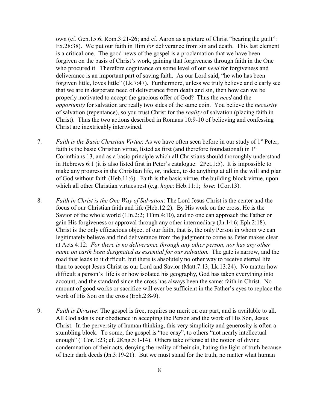own (cf. Gen.15:6; Rom.3:21-26; and cf. Aaron as a picture of Christ "bearing the guilt": Ex.28:38). We put our faith in Him *for* deliverance from sin and death. This last element is a critical one. The good news of the gospel is a proclamation that we have been forgiven on the basis of Christ's work, gaining that forgiveness through faith in the One who procured it. Therefore cognizance on some level of our *need* for forgiveness and deliverance is an important part of saving faith. As our Lord said, "he who has been forgiven little, loves little" (Lk.7:47). Furthermore, unless we truly believe and clearly see that we are in desperate need of deliverance from death and sin, then how can we be properly motivated to accept the gracious offer of God? Thus the *need* and the *opportunity* for salvation are really two sides of the same coin. You believe the *necessity* of salvation (repentance), so you trust Christ for the *reality* of salvation (placing faith in Christ). Thus the two actions described in Romans 10:9-10 of believing and confessing Christ are inextricably intertwined.

- 7. Faith is the Basic Christian Virtue: As we have often seen before in our study of 1<sup>st</sup> Peter, faith is the basic Christian virtue, listed as first (and therefore foundational) in  $1<sup>st</sup>$ Corinthians 13, and as a basic principle which all Christians should thoroughly understand in Hebrews 6:1 (it is also listed first in Peter's catalogue: 2Pet.1:5). It is impossible to make any progress in the Christian life, or, indeed, to do anything at all in the will and plan of God without faith (Heb.11:6). Faith is the basic virtue, the building-block virtue, upon which all other Christian virtues rest (e.g. *hope*: Heb.11:1; *love*: 1Cor.13).
- 8. *Faith in Christ is the One Way of Salvation*: The Lord Jesus Christ is the center and the focus of our Christian faith and life (Heb.12:2). By His work on the cross, He is the Savior of the whole world (1Jn.2:2; 1Tim.4:10), and no one can approach the Father or gain His forgiveness or approval through any other intermediary (Jn.14:6; Eph.2:18). Christ is the only efficacious object of our faith, that is, the only Person in whom we can legitimately believe and find deliverance from the judgment to come as Peter makes clear at Acts 4:12: *For there is no deliverance through any other person, nor has any other name on earth been designated as essential for our salvation.* The gate is narrow, and the road that leads to it difficult, but there is absolutely no other way to receive eternal life than to accept Jesus Christ as our Lord and Savior (Matt.7:13; Lk.13:24). No matter how difficult a person's life is or how isolated his geography, God has taken everything into account, and the standard since the cross has always been the same: faith in Christ. No amount of good works or sacrifice will ever be sufficient in the Father's eyes to replace the work of His Son on the cross (Eph.2:8-9).
- 9. *Faith is Divisive*: The gospel is free, requires no merit on our part, and is available to all. All God asks is our obedience in accepting the Person and the work of His Son, Jesus Christ. In the perversity of human thinking, this very simplicity and generosity is often a stumbling block. To some, the gospel is "too easy", to others "not nearly intellectual enough" (1Cor.1:23; cf. 2Kng.5:1-14). Others take offense at the notion of divine condemnation of their acts, denying the reality of their sin, hating the light of truth because of their dark deeds (Jn.3:19-21). But we must stand for the truth, no matter what human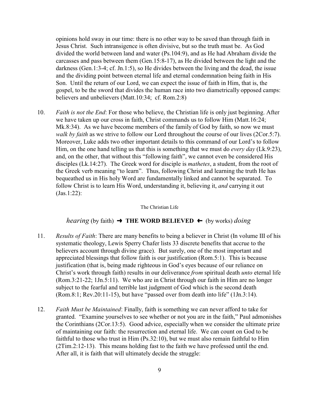opinions hold sway in our time: there is no other way to be saved than through faith in Jesus Christ. Such intransigence is often divisive, but so the truth must be. As God divided the world between land and water (Ps.104:9), and as He had Abraham divide the carcasses and pass between them (Gen.15:8-17), as He divided between the light and the darkness (Gen.1:3-4; cf. Jn.1:5), so He divides between the living and the dead, the issue and the dividing point between eternal life and eternal condemnation being faith in His Son. Until the return of our Lord, we can expect the issue of faith in Him, that is, the gospel, to be the sword that divides the human race into two diametrically opposed camps: believers and unbelievers (Matt.10:34; cf. Rom.2:8)

10. *Faith is not the End*: For those who believe, the Christian life is only just beginning. After we have taken up our cross in faith, Christ commands us to follow Him (Matt.16:24; Mk.8:34). As we have become members of the family of God by faith, so now we must *walk by faith* as we strive to follow our Lord throughout the course of our lives (2Cor.5:7). Moreover, Luke adds two other important details to this command of our Lord's to follow Him, on the one hand telling us that this is something that we must do *every day* (Lk.9:23), and, on the other, that without this "following faith", we cannot even be considered His disciples (Lk.14:27). The Greek word for disciple is *mathetes*, a student, from the root of the Greek verb meaning "to learn". Thus, following Christ and learning the truth He has bequeathed us in His holy Word are fundamentally linked and cannot be separated. To follow Christ is to learn His Word, understanding it, believing it, *and* carrying it out (Jas.1:22):

The Christian Life

## *hearing* (by faith)  $\rightarrow$  **THE WORD BELIEVED**  $\leftarrow$  (by works) *doing*

- 11. *Results of Faith*: There are many benefits to being a believer in Christ (In volume III of his systematic theology, Lewis Sperry Chafer lists 33 discrete benefits that accrue to the believers account through divine grace). But surely, one of the most important and appreciated blessings that follow faith is our justification (Rom.5:1). This is because justification (that is, being made righteous in God's eyes because of our reliance on Christ's work through faith) results in our deliverance *from* spiritual death *unto* eternal life (Rom.3:21-22; 1Jn.5:11). We who are in Christ through our faith in Him are no longer subject to the fearful and terrible last judgment of God which is the second death (Rom.8:1; Rev.20:11-15), but have "passed over from death into life" (1Jn.3:14).
- 12. *Faith Must be Maintained*: Finally, faith is something we can never afford to take for granted. "Examine yourselves to see whether or not you are in the faith," Paul admonishes the Corinthians (2Cor.13:5). Good advice, especially when we consider the ultimate prize of maintaining our faith: the resurrection and eternal life. We can count on God to be faithful to those who trust in Him (Ps.32:10), but we must also remain faithful to Him (2Tim.2:12-13). This means holding fast to the faith we have professed until the end. After all, it is faith that will ultimately decide the struggle: